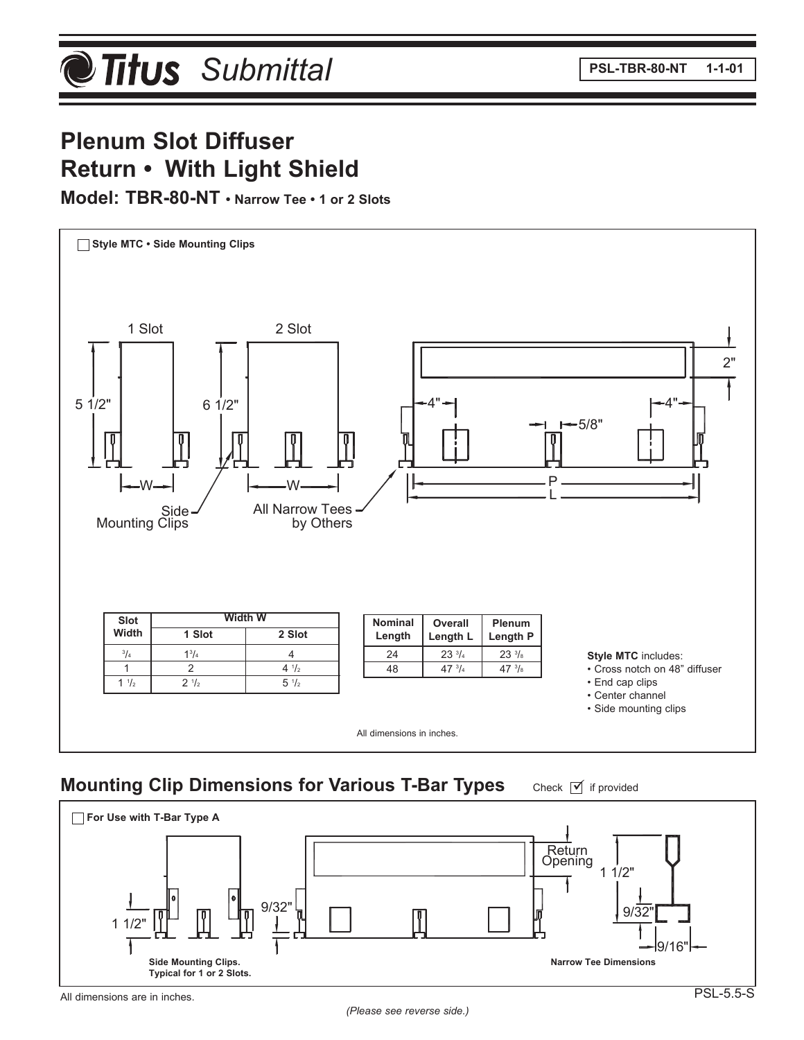# **Plenum Slot Diffuser Return • With Light Shield**

#### **Model: TBR-80-NT • Narrow Tee • 1 or 2 Slots**



### **Mounting Clip Dimensions for Various T-Bar Types**

Check  $\boxed{\mathbf{v}}$  if provided



All dimensions are in inches.